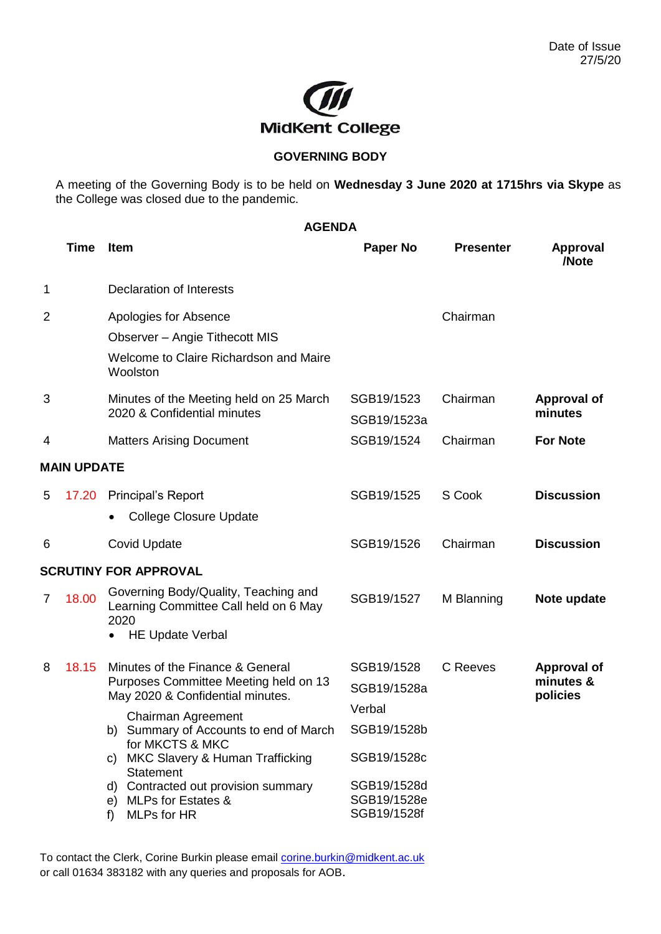

## **GOVERNING BODY**

A meeting of the Governing Body is to be held on **Wednesday 3 June 2020 at 1715hrs via Skype** as the College was closed due to the pandemic.

## **AGENDA Time Item Paper No Presenter Approval /Note** 1 Declaration of Interests 2 Apologies for Absence Observer – Angie Tithecott MIS Welcome to Claire Richardson and Maire **Woolston** Chairman 3 Minutes of the Meeting held on 25 March 2020 & Confidential minutes SGB19/1523 SGB19/1523a Chairman **Approval of minutes** 4 Matters Arising Document SGB19/1524 Chairman **For Note MAIN UPDATE** 5 17.20 Principal's Report • College Closure Update SGB19/1525 S Cook **Discussion** 6 Covid Update SGB19/1526 Chairman **Discussion SCRUTINY FOR APPROVAL** 7 18.00 Governing Body/Quality, Teaching and Learning Committee Call held on 6 May 2020 • HE Update Verbal SGB19/1527 M Blanning **Note update** 8 18.15 Minutes of the Finance & General Purposes Committee Meeting held on 13 May 2020 & Confidential minutes. Chairman Agreement b) Summary of Accounts to end of March for MKCTS & MKC c) MKC Slavery & Human Trafficking **Statement** d) Contracted out provision summary e) MLPs for Estates & f) MLPs for HR SGB19/1528 SGB19/1528a Verbal SGB19/1528b SGB19/1528c SGB19/1528d SGB19/1528e SGB19/1528f C Reeves **Approval of minutes & policies**

To contact the Clerk, Corine Burkin please email [corine.burkin@midkent.ac.uk](mailto:corine.burkin@midkent.ac.uk) or call 01634 383182 with any queries and proposals for AOB.